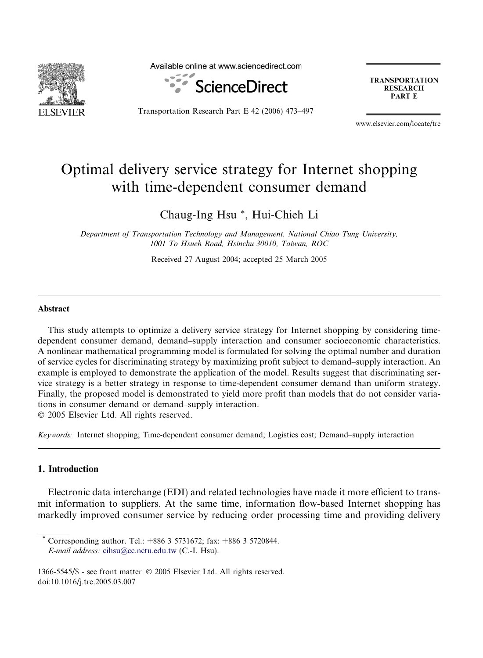

Available online at www.sciencedirect.com



Transportation Research Part E 42 (2006) 473–497

**TRANSPORTATION RESEARCH** PART E

www.elsevier.com/locate/tre

## Optimal delivery service strategy for Internet shopping with time-dependent consumer demand

Chaug-Ing Hsu \*, Hui-Chieh Li

Department of Transportation Technology and Management, National Chiao Tung University, 1001 To Hsueh Road, Hsinchu 30010, Taiwan, ROC

Received 27 August 2004; accepted 25 March 2005

## Abstract

This study attempts to optimize a delivery service strategy for Internet shopping by considering timedependent consumer demand, demand–supply interaction and consumer socioeconomic characteristics. A nonlinear mathematical programming model is formulated for solving the optimal number and duration of service cycles for discriminating strategy by maximizing profit subject to demand–supply interaction. An example is employed to demonstrate the application of the model. Results suggest that discriminating service strategy is a better strategy in response to time-dependent consumer demand than uniform strategy. Finally, the proposed model is demonstrated to yield more profit than models that do not consider variations in consumer demand or demand–supply interaction.

© 2005 Elsevier Ltd. All rights reserved.

Keywords: Internet shopping; Time-dependent consumer demand; Logistics cost; Demand–supply interaction

## 1. Introduction

Electronic data interchange (EDI) and related technologies have made it more efficient to transmit information to suppliers. At the same time, information flow-based Internet shopping has markedly improved consumer service by reducing order processing time and providing delivery

Corresponding author. Tel.: +886 3 5731672; fax: +886 3 5720844. E-mail address: [cihsu@cc.nctu.edu.tw](mailto:cihsu@cc.nctu.edu.tw) (C.-I. Hsu).

1366-5545/\$ - see front matter © 2005 Elsevier Ltd. All rights reserved. doi:10.1016/j.tre.2005.03.007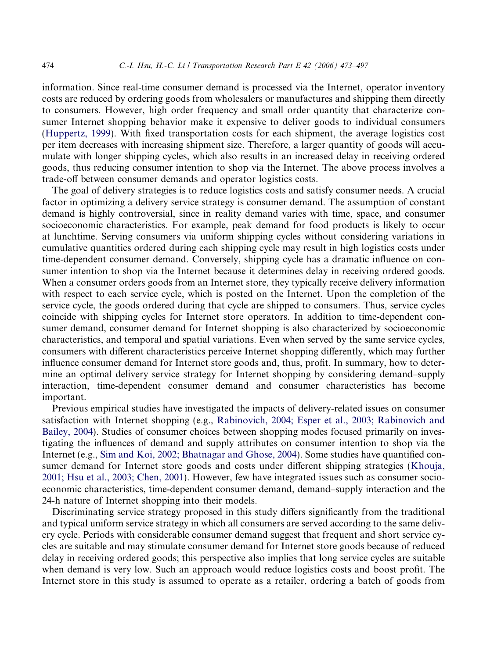information. Since real-time consumer demand is processed via the Internet, operator inventory costs are reduced by ordering goods from wholesalers or manufactures and shipping them directly to consumers. However, high order frequency and small order quantity that characterize consumer Internet shopping behavior make it expensive to deliver goods to individual consumers [\(Huppertz, 1999\)](#page--1-0). With fixed transportation costs for each shipment, the average logistics cost per item decreases with increasing shipment size. Therefore, a larger quantity of goods will accumulate with longer shipping cycles, which also results in an increased delay in receiving ordered goods, thus reducing consumer intention to shop via the Internet. The above process involves a trade-off between consumer demands and operator logistics costs.

The goal of delivery strategies is to reduce logistics costs and satisfy consumer needs. A crucial factor in optimizing a delivery service strategy is consumer demand. The assumption of constant demand is highly controversial, since in reality demand varies with time, space, and consumer socioeconomic characteristics. For example, peak demand for food products is likely to occur at lunchtime. Serving consumers via uniform shipping cycles without considering variations in cumulative quantities ordered during each shipping cycle may result in high logistics costs under time-dependent consumer demand. Conversely, shipping cycle has a dramatic influence on consumer intention to shop via the Internet because it determines delay in receiving ordered goods. When a consumer orders goods from an Internet store, they typically receive delivery information with respect to each service cycle, which is posted on the Internet. Upon the completion of the service cycle, the goods ordered during that cycle are shipped to consumers. Thus, service cycles coincide with shipping cycles for Internet store operators. In addition to time-dependent consumer demand, consumer demand for Internet shopping is also characterized by socioeconomic characteristics, and temporal and spatial variations. Even when served by the same service cycles, consumers with different characteristics perceive Internet shopping differently, which may further influence consumer demand for Internet store goods and, thus, profit. In summary, how to determine an optimal delivery service strategy for Internet shopping by considering demand–supply interaction, time-dependent consumer demand and consumer characteristics has become important.

Previous empirical studies have investigated the impacts of delivery-related issues on consumer satisfaction with Internet shopping (e.g., [Rabinovich, 2004; Esper et al., 2003; Rabinovich and](#page--1-0) [Bailey, 2004\)](#page--1-0). Studies of consumer choices between shopping modes focused primarily on investigating the influences of demand and supply attributes on consumer intention to shop via the Internet (e.g., [Sim and Koi, 2002; Bhatnagar and Ghose, 2004\)](#page--1-0). Some studies have quantified consumer demand for Internet store goods and costs under different shipping strategies [\(Khouja,](#page--1-0) [2001; Hsu et al., 2003; Chen, 2001](#page--1-0)). However, few have integrated issues such as consumer socioeconomic characteristics, time-dependent consumer demand, demand–supply interaction and the 24-h nature of Internet shopping into their models.

Discriminating service strategy proposed in this study differs significantly from the traditional and typical uniform service strategy in which all consumers are served according to the same delivery cycle. Periods with considerable consumer demand suggest that frequent and short service cycles are suitable and may stimulate consumer demand for Internet store goods because of reduced delay in receiving ordered goods; this perspective also implies that long service cycles are suitable when demand is very low. Such an approach would reduce logistics costs and boost profit. The Internet store in this study is assumed to operate as a retailer, ordering a batch of goods from